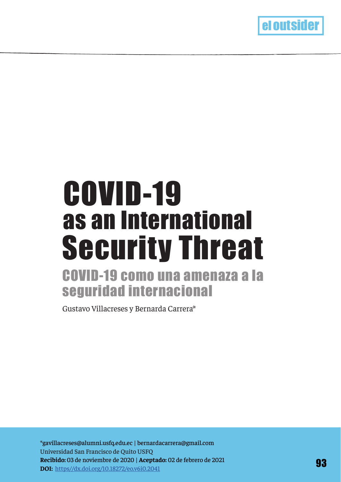

## as an International COVID-19 como una amenaza a la Security Threat COVID-19

# seguridad internacional

Gustavo Villacreses y Bernarda Carrera\*

\*gavillacreses@alumni.usfq.edu.ec | bernardacarrera@gmail.com Universidad San Francisco de Quito USFQ **Recibido:** 03 de noviembre de 2020 | **Aceptado:** 02 de febrero de 2021 **DOI:** https//dx.doi.org/10.18272/eo.v6i0.2041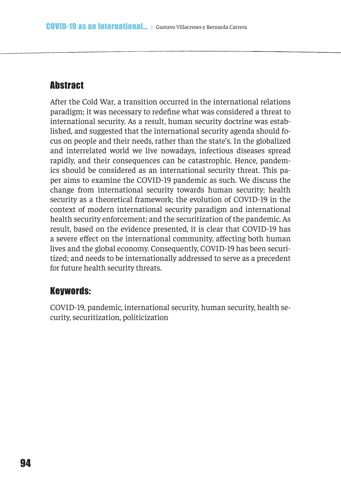## **Abstract**

After the Cold War, a transition occurred in the international relations paradigm; it was necessary to redefne what was considered a threat to international security. As a result, human security doctrine was established, and suggested that the international security agenda should focus on people and their needs, rather than the state's. In the globalized and interrelated world we live nowadays, infectious diseases spread rapidly, and their consequences can be catastrophic. Hence, pandemics should be considered as an international security threat. This paper aims to examine the COVID-19 pandemic as such. We discuss the change from international security towards human security; health security as a theoretical framework; the evolution of COVID-19 in the context of modern international security paradigm and international health security enforcement; and the securitization of the pandemic. As result, based on the evidence presented, it is clear that COVID-19 has a severe efect on the international community, afecting both human lives and the global economy. Consequently, COVID-19 has been securitized; and needs to be internationally addressed to serve as a precedent for future health security threats.

## Keywords:

COVID-19, pandemic, international security, human security, health security, securitization, politicization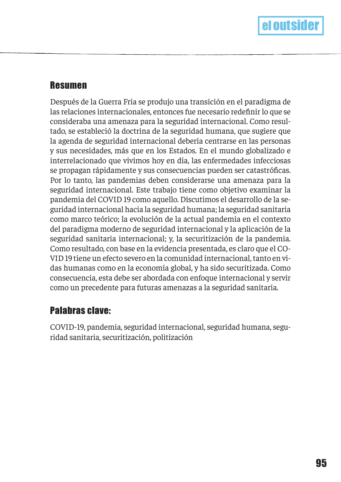## Resumen

Después de la Guerra Fría se produjo una transición en el paradigma de las relaciones internacionales, entonces fue necesario redefnir lo que se consideraba una amenaza para la seguridad internacional. Como resultado, se estableció la doctrina de la seguridad humana, que sugiere que la agenda de seguridad internacional debería centrarse en las personas y sus necesidades, más que en los Estados. En el mundo globalizado e interrelacionado que vivimos hoy en día, las enfermedades infecciosas se propagan rápidamente y sus consecuencias pueden ser catastrófcas. Por lo tanto, las pandemias deben considerarse una amenaza para la seguridad internacional. Este trabajo tiene como objetivo examinar la pandemia del COVID 19 como aquello. Discutimos el desarrollo de la seguridad internacional hacia la seguridad humana; la seguridad sanitaria como marco teórico; la evolución de la actual pandemia en el contexto del paradigma moderno de seguridad internacional y la aplicación de la seguridad sanitaria internacional; y, la securitización de la pandemia. Como resultado, con base en la evidencia presentada, es claro que el CO-VID 19 tiene un efecto severo en la comunidad internacional, tanto en vidas humanas como en la economía global, y ha sido securitizada. Como consecuencia, esta debe ser abordada con enfoque internacional y servir como un precedente para futuras amenazas a la seguridad sanitaria.

## Palabras clave:

COVID-19, pandemia, seguridad internacional, seguridad humana, seguridad sanitaria, securitización, politización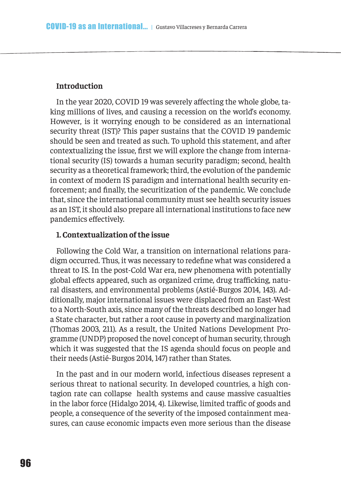#### **Introduction**

In the year 2020, COVID 19 was severely affecting the whole globe, taking millions of lives, and causing a recession on the world's economy. However, is it worrying enough to be considered as an international security threat (IST)? This paper sustains that the COVID 19 pandemic should be seen and treated as such. To uphold this statement, and after contextualizing the issue, frst we will explore the change from international security (IS) towards a human security paradigm; second, health security as a theoretical framework; third, the evolution of the pandemic in context of modern IS paradigm and international health security enforcement; and fnally, the securitization of the pandemic. We conclude that, since the international community must see health security issues as an IST, it should also prepare all international institutions to face new pandemics efectively.

#### **1. Contextualization of the issue**

Following the Cold War, a transition on international relations paradigm occurred. Thus, it was necessary to redefne what was considered a threat to IS. In the post-Cold War era, new phenomena with potentially global efects appeared, such as organized crime, drug traficking, natural disasters, and environmental problems (Astié-Burgos 2014, 143). Additionally, major international issues were displaced from an East-West to a North-South axis, since many of the threats described no longer had a State character, but rather a root cause in poverty and marginalization (Thomas 2003, 211). As a result, the United Nations Development Programme (UNDP) proposed the novel concept of human security, through which it was suggested that the IS agenda should focus on people and their needs (Astié-Burgos 2014, 147) rather than States.

In the past and in our modern world, infectious diseases represent a serious threat to national security. In developed countries, a high contagion rate can collapse health systems and cause massive casualties in the labor force (Hidalgo 2014, 4). Likewise, limited trafic of goods and people, a consequence of the severity of the imposed containment measures, can cause economic impacts even more serious than the disease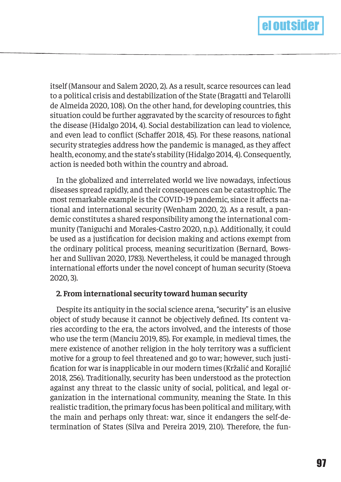

itself (Mansour and Salem 2020, 2). As a result, scarce resources can lead to a political crisis and destabilization of the State (Bragatti and Telarolli de Almeida 2020, 108). On the other hand, for developing countries, this situation could be further aggravated by the scarcity of resources to fght the disease (Hidalgo 2014, 4). Social destabilization can lead to violence, and even lead to conflict (Schaffer 2018, 45). For these reasons, national security strategies address how the pandemic is managed, as they afect health, economy, and the state's stability (Hidalgo 2014, 4). Consequently, action is needed both within the country and abroad.

In the globalized and interrelated world we live nowadays, infectious diseases spread rapidly, and their consequences can be catastrophic. The most remarkable example is the COVID-19 pandemic, since it afects national and international security (Wenham 2020, 2). As a result, a pandemic constitutes a shared responsibility among the international community (Taniguchi and Morales-Castro 2020, n.p.). Additionally, it could be used as a justifcation for decision making and actions exempt from the ordinary political process, meaning securitization (Bernard, Bowsher and Sullivan 2020, 1783). Nevertheless, it could be managed through international eforts under the novel concept of human security (Stoeva 2020, 3).

#### **2. From international security toward human security**

Despite its antiquity in the social science arena, "security" is an elusive object of study because it cannot be objectively defned. Its content varies according to the era, the actors involved, and the interests of those who use the term (Manciu 2019, 85). For example, in medieval times, the mere existence of another religion in the holy territory was a suficient motive for a group to feel threatened and go to war; however, such justifcation for war is inapplicable in our modern times (Kržalić and Korajlić 2018, 256). Traditionally, security has been understood as the protection against any threat to the classic unity of social, political, and legal organization in the international community, meaning the State. In this realistic tradition, the primary focus has been political and military, with the main and perhaps only threat: war, since it endangers the self-determination of States (Silva and Pereira 2019, 210). Therefore, the fun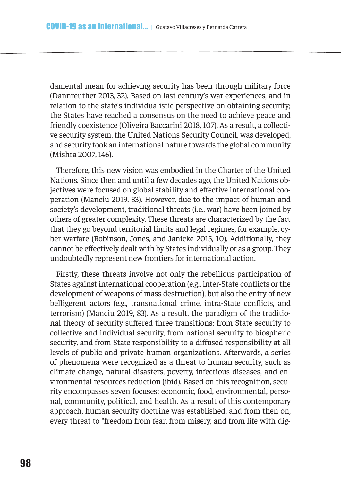damental mean for achieving security has been through military force (Dannreuther 2013, 32). Based on last century's war experiences, and in relation to the state's individualistic perspective on obtaining security; the States have reached a consensus on the need to achieve peace and friendly coexistence (Oliveira Baccarini 2018, 107). As a result, a collective security system, the United Nations Security Council, was developed, and security took an international nature towards the global community (Mishra 2007, 146).

Therefore, this new vision was embodied in the Charter of the United Nations. Since then and until a few decades ago, the United Nations objectives were focused on global stability and effective international cooperation (Manciu 2019, 83). However, due to the impact of human and society's development, traditional threats (i.e., war) have been joined by others of greater complexity. These threats are characterized by the fact that they go beyond territorial limits and legal regimes, for example, cyber warfare (Robinson, Jones, and Janicke 2015, 10). Additionally, they cannot be efectively dealt with by States individually or as a group. They undoubtedly represent new frontiers for international action.

Firstly, these threats involve not only the rebellious participation of States against international cooperation (e.g., inter-State conficts or the development of weapons of mass destruction), but also the entry of new belligerent actors (e.g., transnational crime, intra-State conficts, and terrorism) (Manciu 2019, 83). As a result, the paradigm of the traditional theory of security sufered three transitions: from State security to collective and individual security, from national security to biospheric security, and from State responsibility to a difused responsibility at all levels of public and private human organizations. Afterwards, a series of phenomena were recognized as a threat to human security, such as climate change, natural disasters, poverty, infectious diseases, and environmental resources reduction (ibid). Based on this recognition, security encompasses seven focuses: economic, food, environmental, personal, community, political, and health. As a result of this contemporary approach, human security doctrine was established, and from then on, every threat to "freedom from fear, from misery, and from life with dig-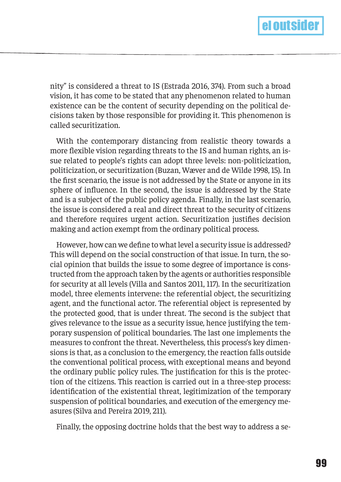

nity" is considered a threat to IS (Estrada 2016, 374). From such a broad vision, it has come to be stated that any phenomenon related to human existence can be the content of security depending on the political decisions taken by those responsible for providing it. This phenomenon is called securitization.

With the contemporary distancing from realistic theory towards a more fexible vision regarding threats to the IS and human rights, an issue related to people's rights can adopt three levels: non-politicization, politicization, or securitization (Buzan, Wæver and de Wilde 1998, 15). In the frst scenario, the issue is not addressed by the State or anyone in its sphere of infuence. In the second, the issue is addressed by the State and is a subject of the public policy agenda. Finally, in the last scenario, the issue is considered a real and direct threat to the security of citizens and therefore requires urgent action. Securitization justifes decision making and action exempt from the ordinary political process.

However, how can we defne to what level a security issue is addressed? This will depend on the social construction of that issue. In turn, the social opinion that builds the issue to some degree of importance is constructed from the approach taken by the agents or authorities responsible for security at all levels (Villa and Santos 2011, 117). In the securitization model, three elements intervene: the referential object, the securitizing agent, and the functional actor. The referential object is represented by the protected good, that is under threat. The second is the subject that gives relevance to the issue as a security issue, hence justifying the temporary suspension of political boundaries. The last one implements the measures to confront the threat. Nevertheless, this process's key dimensions is that, as a conclusion to the emergency, the reaction falls outside the conventional political process, with exceptional means and beyond the ordinary public policy rules. The justifcation for this is the protection of the citizens. This reaction is carried out in a three-step process: identifcation of the existential threat, legitimization of the temporary suspension of political boundaries, and execution of the emergency measures (Silva and Pereira 2019, 211).

Finally, the opposing doctrine holds that the best way to address a se-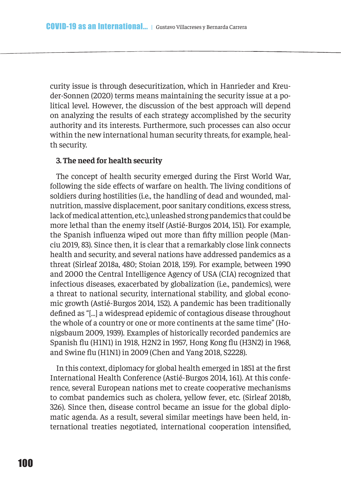curity issue is through desecuritization, which in Hanrieder and Kreuder-Sonnen (2020) terms means maintaining the security issue at a political level. However, the discussion of the best approach will depend on analyzing the results of each strategy accomplished by the security authority and its interests. Furthermore, such processes can also occur within the new international human security threats, for example, health security.

#### **3. The need for health security**

The concept of health security emerged during the First World War, following the side efects of warfare on health. The living conditions of soldiers during hostilities (i.e., the handling of dead and wounded, malnutrition, massive displacement, poor sanitary conditions, excess stress, lack of medical attention, etc.), unleashed strong pandemics that could be more lethal than the enemy itself (Astié-Burgos 2014, 151). For example, the Spanish infuenza wiped out more than ffty million people (Manciu 2019, 83). Since then, it is clear that a remarkably close link connects health and security, and several nations have addressed pandemics as a threat (Sirleaf 2018a, 480; Stoian 2018, 159). For example, between 1990 and 2000 the Central Intelligence Agency of USA (CIA) recognized that infectious diseases, exacerbated by globalization (i.e., pandemics), were a threat to national security, international stability, and global economic growth (Astié-Burgos 2014, 152). A pandemic has been traditionally defned as "[…] a widespread epidemic of contagious disease throughout the whole of a country or one or more continents at the same time" (Honigsbaum 2009, 1939). Examples of historically recorded pandemics are Spanish fu (H1N1) in 1918, H2N2 in 1957, Hong Kong fu (H3N2) in 1968, and Swine fu (H1N1) in 2009 (Chen and Yang 2018, S2228).

In this context, diplomacy for global health emerged in 1851 at the frst International Health Conference (Astié-Burgos 2014, 161). At this conference, several European nations met to create cooperative mechanisms to combat pandemics such as cholera, yellow fever, etc. (Sirleaf 2018b, 326). Since then, disease control became an issue for the global diplomatic agenda. As a result, several similar meetings have been held, international treaties negotiated, international cooperation intensifed,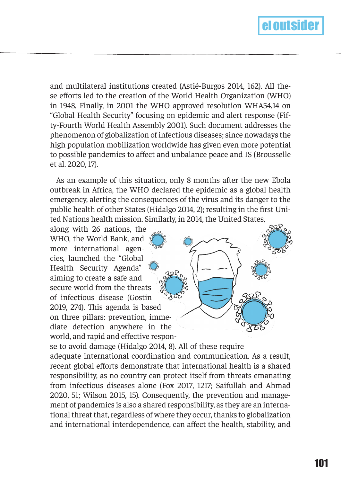

and multilateral institutions created (Astié-Burgos 2014, 162). All these efforts led to the creation of the World Health Organization (WHO) in 1948. Finally, in 2001 the WHO approved resolution WHA54.14 on "Global Health Security" focusing on epidemic and alert response (Fifty-Fourth World Health Assembly 2001). Such document addresses the phenomenon of globalization of infectious diseases; since nowadays the high population mobilization worldwide has given even more potential to possible pandemics to afect and unbalance peace and IS (Brousselle et al. 2020, 17).

As an example of this situation, only 8 months after the new Ebola outbreak in Africa, the WHO declared the epidemic as a global health emergency, alerting the consequences of the virus and its danger to the public health of other States (Hidalgo 2014, 2); resulting in the frst United Nations health mission. Similarly, in 2014, the United States,

along with 26 nations, the WHO, the World Bank, and more international agencies, launched the "Global Health Security Agenda" aiming to create a safe and secure world from the threats of infectious disease (Gostin 2019, 274). This agenda is based on three pillars: prevention, immediate detection anywhere in the world, and rapid and efective respon-



se to avoid damage (Hidalgo 2014, 8). All of these require adequate international coordination and communication. As a result, recent global eforts demonstrate that international health is a shared responsibility, as no country can protect itself from threats emanating from infectious diseases alone (Fox 2017, 1217; Saifullah and Ahmad 2020, 51; Wilson 2015, 15). Consequently, the prevention and management of pandemics is also a shared responsibility, as they are an international threat that, regardless of where they occur, thanks to globalization and international interdependence, can afect the health, stability, and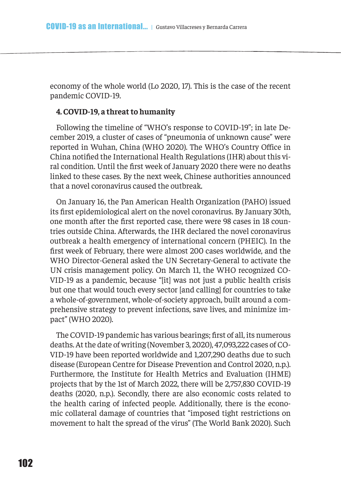economy of the whole world (Lo 2020, 17). This is the case of the recent pandemic COVID-19.

#### **4. COVID-19, a threat to humanity**

Following the timeline of "WHO's response to COVID-19"; in late December 2019, a cluster of cases of "pneumonia of unknown cause" were reported in Wuhan, China (WHO 2020). The WHO's Country Ofice in China notifed the International Health Regulations (IHR) about this viral condition. Until the frst week of January 2020 there were no deaths linked to these cases. By the next week, Chinese authorities announced that a novel coronavirus caused the outbreak.

On January 16, the Pan American Health Organization (PAHO) issued its frst epidemiological alert on the novel coronavirus. By January 30th, one month after the frst reported case, there were 98 cases in 18 countries outside China. Afterwards, the IHR declared the novel coronavirus outbreak a health emergency of international concern (PHEIC). In the frst week of February, there were almost 200 cases worldwide, and the WHO Director-General asked the UN Secretary-General to activate the UN crisis management policy. On March 11, the WHO recognized CO-VID-19 as a pandemic, because "[it] was not just a public health crisis but one that would touch every sector [and calling] for countries to take a whole-of-government, whole-of-society approach, built around a comprehensive strategy to prevent infections, save lives, and minimize impact" (WHO 2020).

The COVID-19 pandemic has various bearings; frst of all, its numerous deaths. At the date of writing (November 3, 2020), 47,093,222 cases of CO-VID-19 have been reported worldwide and 1,207,290 deaths due to such disease (European Centre for Disease Prevention and Control 2020, n.p.). Furthermore, the Institute for Health Metrics and Evaluation (IHME) projects that by the 1st of March 2022, there will be 2,757,830 COVID-19 deaths (2020, n.p.). Secondly, there are also economic costs related to the health caring of infected people. Additionally, there is the economic collateral damage of countries that "imposed tight restrictions on movement to halt the spread of the virus" (The World Bank 2020). Such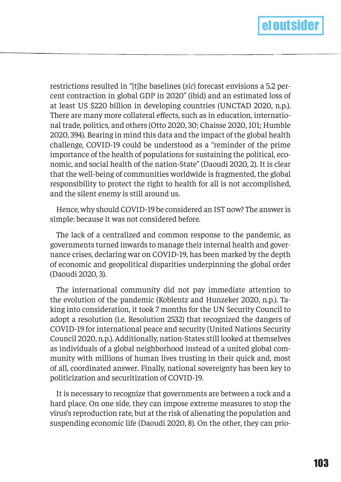

restrictions resulted in "[t]he baselines (*sic*) forecast envisions a 5.2 percent contraction in global GDP in 2020" (ibid) and an estimated loss of at least US \$220 billion in developing countries (UNCTAD 2020, n.p.). There are many more collateral efects, such as in education, international trade, politics, and others (Otto 2020, 30; Chaisse 2020, 101; Humble 2020, 394). Bearing in mind this data and the impact of the global health challenge, COVID-19 could be understood as a "reminder of the prime importance of the health of populations for sustaining the political, economic, and social health of the nation-State" (Daoudi 2020, 2). It is clear that the well-being of communities worldwide is fragmented, the global responsibility to protect the right to health for all is not accomplished, and the silent enemy is still around us.

Hence, why should COVID-19 be considered an IST now? The answer is simple: because it was not considered before.

The lack of a centralized and common response to the pandemic, as governments turned inwards to manage their internal health and governance crises, declaring war on COVID-19, has been marked by the depth of economic and geopolitical disparities underpinning the global order (Daoudi 2020, 3).

The international community did not pay immediate attention to the evolution of the pandemic (Koblentz and Hunzeker 2020, n.p.). Taking into consideration, it took 7 months for the UN Security Council to adopt a resolution (i.e. Resolution 2532) that recognized the dangers of COVID-19 for international peace and security (United Nations Security Council 2020, n.p.). Additionally, nation-States still looked at themselves as individuals of a global neighborhood instead of a united global community with millions of human lives trusting in their quick and, most of all, coordinated answer. Finally, national sovereignty has been key to politicization and securitization of COVID-19.

It is necessary to recognize that governments are between a rock and a hard place. On one side, they can impose extreme measures to stop the virus's reproduction rate, but at the risk of alienating the population and suspending economic life (Daoudi 2020, 8). On the other, they can prio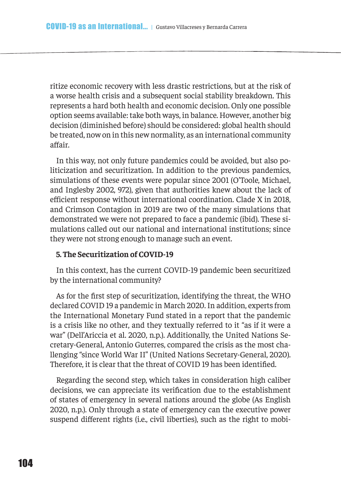ritize economic recovery with less drastic restrictions, but at the risk of a worse health crisis and a subsequent social stability breakdown. This represents a hard both health and economic decision. Only one possible option seems available: take both ways, in balance. However, another big decision (diminished before) should be considered: global health should be treated, now on in this new normality, as an international community affair.

In this way, not only future pandemics could be avoided, but also politicization and securitization. In addition to the previous pandemics, simulations of these events were popular since 2001 (O'Toole, Michael, and Inglesby 2002, 972), given that authorities knew about the lack of eficient response without international coordination. Clade X in 2018, and Crimson Contagion in 2019 are two of the many simulations that demonstrated we were not prepared to face a pandemic (ibid). These simulations called out our national and international institutions; since they were not strong enough to manage such an event.

#### **5. The Securitization of COVID-19**

In this context, has the current COVID-19 pandemic been securitized by the international community?

As for the frst step of securitization, identifying the threat, the WHO declared COVID 19 a pandemic in March 2020. In addition, experts from the International Monetary Fund stated in a report that the pandemic is a crisis like no other, and they textually referred to it "as if it were a war" (Dell'Ariccia et al. 2020, n.p.). Additionally, the United Nations Secretary-General, Antonio Guterres, compared the crisis as the most challenging "since World War II" (United Nations Secretary-General, 2020). Therefore, it is clear that the threat of COVID 19 has been identifed.

Regarding the second step, which takes in consideration high caliber decisions, we can appreciate its verifcation due to the establishment of states of emergency in several nations around the globe (As English 2020, n.p.). Only through a state of emergency can the executive power suspend diferent rights (i.e., civil liberties), such as the right to mobi-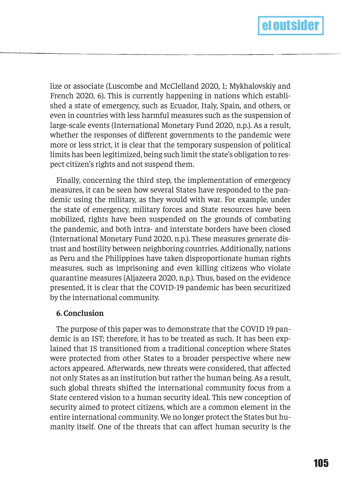

lize or associate (Luscombe and McClelland 2020, 1; Mykhalovskiy and French 2020, 6). This is currently happening in nations which established a state of emergency, such as Ecuador, Italy, Spain, and others, or even in countries with less harmful measures such as the suspension of large-scale events (International Monetary Fund 2020, n.p.). As a result, whether the responses of diferent governments to the pandemic were more or less strict, it is clear that the temporary suspension of political limits has been legitimized, being such limit the state's obligation to respect citizen's rights and not suspend them.

Finally, concerning the third step, the implementation of emergency measures, it can be seen how several States have responded to the pandemic using the military, as they would with war. For example, under the state of emergency, military forces and State resources have been mobilized, rights have been suspended on the grounds of combating the pandemic, and both intra- and interstate borders have been closed (International Monetary Fund 2020, n.p.). These measures generate distrust and hostility between neighboring countries. Additionally, nations as Peru and the Philippines have taken disproportionate human rights measures, such as imprisoning and even killing citizens who violate quarantine measures (Aljazeera 2020, n.p.). Thus, based on the evidence presented, it is clear that the COVID-19 pandemic has been securitized by the international community.

#### **6. Conclusion**

The purpose of this paper was to demonstrate that the COVID 19 pandemic is an IST; therefore, it has to be treated as such. It has been explained that IS transitioned from a traditional conception where States were protected from other States to a broader perspective where new actors appeared. Afterwards, new threats were considered, that afected not only States as an institution but rather the human being. As a result, such global threats shifted the international community focus from a State centered vision to a human security ideal. This new conception of security aimed to protect citizens, which are a common element in the entire international community. We no longer protect the States but humanity itself. One of the threats that can afect human security is the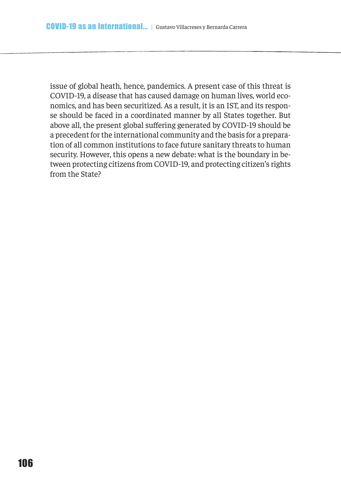issue of global heath, hence, pandemics. A present case of this threat is COVID-19, a disease that has caused damage on human lives, world economics, and has been securitized. As a result, it is an IST, and its response should be faced in a coordinated manner by all States together. But above all, the present global sufering generated by COVID-19 should be a precedent for the international community and the basis for a preparation of all common institutions to face future sanitary threats to human security. However, this opens a new debate: what is the boundary in between protecting citizens from COVID-19, and protecting citizen's rights from the State?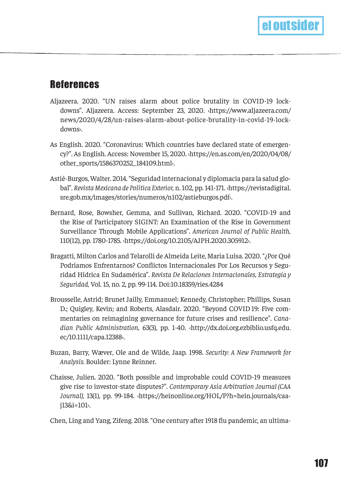## **References**

- Aljazeera. 2020. "UN raises alarm about police brutality in COVID-19 lockdowns". Aljazeera. Access: September 23, 2020. ‹https://www.aljazeera.com/ news/2020/4/28/un-raises-alarm-about-police-brutality-in-covid-19-lockdowns›.
- As English. 2020. "Coronavirus: Which countries have declared state of emergency?". As English. Access: November 15, 2020. ‹https://en.as.com/en/2020/04/08/ other\_sports/1586370252\_184109.html›.
- Astié-Burgos, Walter. 2014. "Seguridad internacional y diplomacia para la salud global". *Revista Mexicana de Política Exterior,* n. 102, pp. 141-171. ‹https://revistadigital. sre.gob.mx/images/stories/numeros/n102/astieburgos.pdf›.
- Bernard, Rose, Bowsher, Gemma, and Sullivan, Richard. 2020. "COVID-19 and the Rise of Participatory SIGINT: An Examination of the Rise in Government Surveillance Through Mobile Applications". *American Journal of Public Health,* 110(12), pp. 1780-1785. ‹https://doi.org/10.2105/AJPH.2020.305912›.
- Bragatti, Milton Carlos and Telarolli de Almeida Leite, Maria Luísa. 2020. "¿Por Qué Podríamos Enfrentarnos? Confictos Internacionales Por Los Recursos y Seguridad Hídrica En Sudamérica". *Revista De Relaciones Internacionales, Estrategia y Seguridad,* Vol. 15, no. 2, pp. 99-114. Doi:10.18359/ries.4284
- Brousselle, Astrid; Brunet Jailly, Emmanuel; Kennedy, Christopher; Phillips, Susan D.; Quigley, Kevin; and Roberts, Alasdair. 2020. "Beyond COVID‐19: Five commentaries on reimagining governance for future crises and resilience". *Canadian Public Administration,* 63(3), pp. 1-40. ‹http://dx.doi.org.ezbiblio.usfq.edu. ec/10.1111/capa.12388›.
- Buzan, Barry, Wæver, Ole and de Wilde, Jaap. 1998. *Security: A New Framework for Analysis.* Boulder: Lynne Reinner.
- Chaisse, Julien. 2020. "Both possible and improbable could COVID-19 measures give rise to investor-state disputes?". *Contemporary Asia Arbitration Journal (CAA Journal)*, 13(1), pp. 99-184. ‹https://heinonline.org/HOL/P?h=hein.journals/caaj13&i=101›.

Chen, Ling and Yang, Zifeng. 2018. "One century after 1918 fu pandemic, an ultima-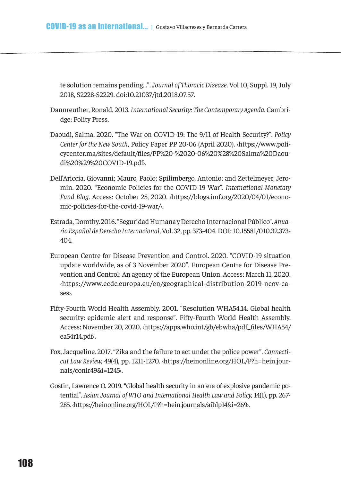te solution remains pending...". *Journal of Thoracic Disease*. Vol 10, Suppl. 19, July 2018, S2228-S2229. doi:10.21037/jtd.2018.07.57.

- Dannreuther, Ronald. 2013. *International Security: The Contemporary Agenda.* Cambridge: Polity Press.
- Daoudi, Salma. 2020. "The War on COVID-19: The 9/11 of Health Security?". *Policy Center for the New South*, Policy Paper PP 20-06 (April 2020). ‹https://www.policycenter.ma/sites/default/fles/PP%20-%2020-06%20%28%20Salma%20Daoudi%20%29%20COVID-19.pdf›.
- Dell'Ariccia, Giovanni; Mauro, Paolo; Spilimbergo, Antonio; and Zettelmeyer, Jeromin. 2020. "Economic Policies for the COVID-19 War". *International Monetary Fund Blog*. Access: October 25, 2020. ‹https://blogs.imf.org/2020/04/01/economic-policies-for-the-covid-19-war/›.
- Estrada, Dorothy. 2016. "Seguridad Humana y Derecho Internacional Público". *Anuario Español de Derecho Internacional*, Vol. 32, pp. 373-404. DOI: 10.15581/010.32.373- 404.
- European Centre for Disease Prevention and Control. 2020. "COVID-19 situation update worldwide, as of 3 November 2020". European Centre for Disease Prevention and Control: An agency of the European Union. Access: March 11, 2020. ‹https://www.ecdc.europa.eu/en/geographical-distribution-2019-ncov-cases›.
- Fifty-Fourth World Health Assembly. 2001. "Resolution WHA54.14. Global health security: epidemic alert and response". Fifty-Fourth World Health Assembly. Access: November 20, 2020. ‹https://apps.who.int/gb/ebwha/pdf\_fles/WHA54/ ea54r14.pdf›.
- Fox, Jacqueline. 2017. "Zika and the failure to act under the police power". *Connecticut Law Review,* 49(4), pp. 1211-1270. ‹https://heinonline.org/HOL/P?h=hein.journals/conlr49&i=1245›.
- Gostin, Lawrence O. 2019. "Global health security in an era of explosive pandemic potential". *Asian Journal of WTO and International Health Law and Policy,* 14(1), pp. 267- 285. ‹https://heinonline.org/HOL/P?h=hein.journals/aihlp14&i=269›.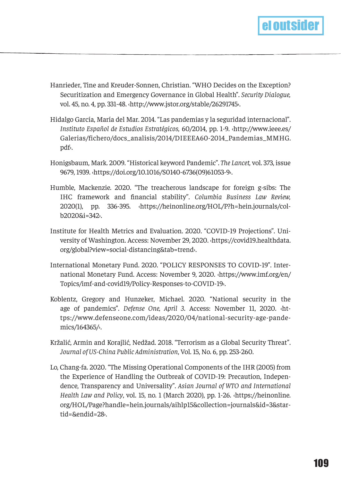

- Hanrieder, Tine and Kreuder-Sonnen, Christian. "WHO Decides on the Exception? Securitization and Emergency Governance in Global Health". *Security Dialogue,*  vol. 45, no. 4, pp. 331-48. ‹http://www.jstor.org/stable/26291745›.
- Hidalgo García, María del Mar. 2014. "Las pandemias y la seguridad internacional". *Instituto Español de Estudios Estratégicos,* 60/2014, pp. 1-9. ‹http://www.ieee.es/ Galerias/fichero/docs\_analisis/2014/DIEEEA60-2014\_Pandemias\_MMHG. pdf›.
- Honigsbaum, Mark. 2009. "Historical keyword Pandemic". *The Lancet,* vol. 373, issue 9679, 1939. ‹https://doi.org/10.1016/S0140-6736(09)61053-9›.
- Humble, Mackenzie. 2020. "The treacherous landscape for foreign g-sibs: The IHC framework and fnancial stability". *Columbia Business Law Review,* 2020(1), pp. 336-395. ‹https://heinonline.org/HOL/P?h=hein.journals/colb2020&i=342›.
- Institute for Health Metrics and Evaluation. 2020. "COVID-19 Projections". University of Washington. Access: November 29, 2020. ‹https://covid19.healthdata. org/global?view=social-distancing&tab=trend›.
- International Monetary Fund. 2020. "POLICY RESPONSES TO COVID-19". International Monetary Fund. Access: November 9, 2020. ‹https://www.imf.org/en/ Topics/imf-and-covid19/Policy-Responses-to-COVID-19›.
- Koblentz, Gregory and Hunzeker, Michael. 2020. "National security in the age of pandemics". *Defense One, April 3*. Access: November 11, 2020. ‹https://www.defenseone.com/ideas/2020/04/national-security-age-pandemics/164365/›.
- Kržalić, Armin and Korajlić, Nedžad. 2018. "Terrorism as a Global Security Threat". *Journal of US-China Public Administration*, Vol. 15, No. 6, pp. 253-260.
- Lo, Chang-fa. 2020. "The Missing Operational Components of the IHR (2005) from the Experience of Handling the Outbreak of COVID-19: Precaution, Independence, Transparency and Universality". *Asian Journal of WTO and International Health Law and Policy*, vol. 15, no. 1 (March 2020), pp. 1-26. ‹https://heinonline. org/HOL/Page?handle=hein.journals/aihlp15&collection=journals&id=3&startid=&endid=28›.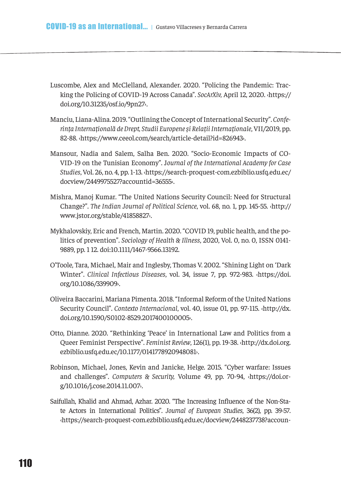- Luscombe, Alex and McClelland, Alexander. 2020. "Policing the Pandemic: Tracking the Policing of COVID-19 Across Canada". *SocArXiv,* April 12, 2020. ‹https:// doi.org/10.31235/osf.io/9pn27›.
- Manciu, Liana-Alina. 2019. "Outlining the Concept of International Security". *Conferința Internațională de Drept, Studii Europene și Relații Internaționale*, VII/2019, pp. 82-88. ‹https://www.ceeol.com/search/article-detail?id=826943›.
- Mansour, Nadia and Salem, Salha Ben. 2020. "Socio-Economic Impacts of CO-VID-19 on the Tunisian Economy". J*ournal of the International Academy for Case Studies*, Vol. 26, no. 4, pp. 1-13. ‹https://search-proquest-com.ezbiblio.usfq.edu.ec/ docview/2449975527?accountid=36555›.
- Mishra, Manoj Kumar. "The United Nations Security Council: Need for Structural Change?". *The Indian Journal of Political Science*, vol. 68, no. 1, pp. 145-55. ‹http:// www.jstor.org/stable/41858827›.
- Mykhalovskiy, Eric and French, Martin. 2020. "COVID 19, public health, and the politics of prevention". *Sociology of Health & Illness*, 2020, Vol. 0, no. 0, ISSN 0141- 9889, pp. 1 12. doi:10.1111/1467-9566.13192.
- O'Toole, Tara, Michael, Mair and Inglesby, Thomas V. 2002. "Shining Light on 'Dark Winter". *Clinical Infectious Diseases*, vol. 34, issue 7, pp. 972-983. ‹https://doi. org/10.1086/339909›.
- Oliveira Baccarini, Mariana Pimenta. 2018. "Informal Reform of the United Nations Security Council". *Contexto Internacional*, vol. 40, issue 01, pp. 97-115. ‹http://dx. doi.org/10.1590/S0102-8529.2017400100005›.
- Otto, Dianne. 2020. "Rethinking 'Peace' in International Law and Politics from a Queer Feminist Perspective". *Feminist Review*, 126(1), pp. 19-38. ‹http://dx.doi.org. ezbiblio.usfq.edu.ec/10.1177/0141778920948081›.
- Robinson, Michael, Jones, Kevin and Janicke, Helge. 2015. "Cyber warfare: Issues and challenges". *Computers & Security,* Volume 49, pp. 70-94, ‹https://doi.org/10.1016/j.cose.2014.11.007›.
- Saifullah, Khalid and Ahmad, Azhar. 2020. "The Increasing Infuence of the Non-State Actors in International Politics". *Journal of European Studies*, 36(2), pp. 39-57. ‹https://search-proquest-com.ezbiblio.usfq.edu.ec/docview/2448237738?accoun-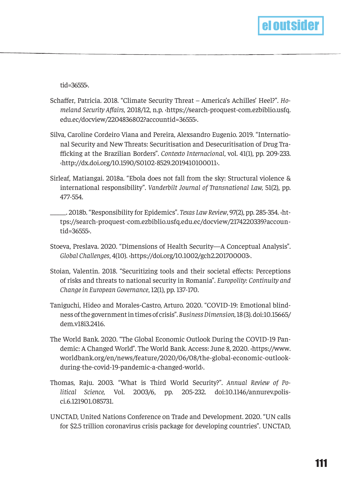

tid=36555›.

- Schafer, Patricia. 2018. "Climate Security Threat America's Achilles' Heel?". *Homeland Security Afairs,* 2018/12, n.p. ‹https://search-proquest-com.ezbiblio.usfq. edu.ec/docview/2204836802?accountid=36555›.
- Silva, Caroline Cordeiro Viana and Pereira, Alexsandro Eugenio. 2019. "International Security and New Threats: Securitisation and Desecuritisation of Drug Traficking at the Brazilian Borders". *Contexto Internacional*, vol. 41(1), pp. 209-233. ‹http://dx.doi.org/10.1590/S0102-8529.2019410100011›.
- Sirleaf, Matiangai. 2018a. "Ebola does not fall from the sky: Structural violence & international responsibility". *Vanderbilt Journal of Transnational Law,* 51(2), pp. 477-554.
- \_\_\_\_\_. 2018b. "Responsibility for Epidemics". *Texas Law Review*, 97(2), pp. 285-354. ‹https://search-proquest-com.ezbiblio.usfq.edu.ec/docview/2174220339?accountid=36555›.
- Stoeva, Preslava. 2020. "Dimensions of Health Security—A Conceptual Analysis". *Global Challenges*, 4(10). ‹https://doi.org/10.1002/gch2.201700003›.
- Stoian, Valentin. 2018. "Securitizing tools and their societal efects: Perceptions of risks and threats to national security in Romania". *Europolity: Continuity and Change in European Governance*, 12(1), pp. 137-170.
- Taniguchi, Hideo and Morales-Castro, Arturo. 2020. "COVID-19: Emotional blindness of the government in times of crisis". *Business Dimension,* 18 (3). doi:10.15665/ dem.v18i3.2416.
- The World Bank. 2020. "The Global Economic Outlook During the COVID-19 Pandemic: A Changed World". The World Bank. Access: June 8, 2020. ‹https://www. worldbank.org/en/news/feature/2020/06/08/the-global-economic-outlookduring-the-covid-19-pandemic-a-changed-world›.
- Thomas, Raju. 2003. "What is Third World Security?". *Annual Review of Political Science,* Vol. 2003/6, pp. 205-232. doi:10.1146/annurev.polisci.6.121901.085731.
- UNCTAD, United Nations Conference on Trade and Development. 2020. "UN calls for \$2.5 trillion coronavirus crisis package for developing countries". UNCTAD,